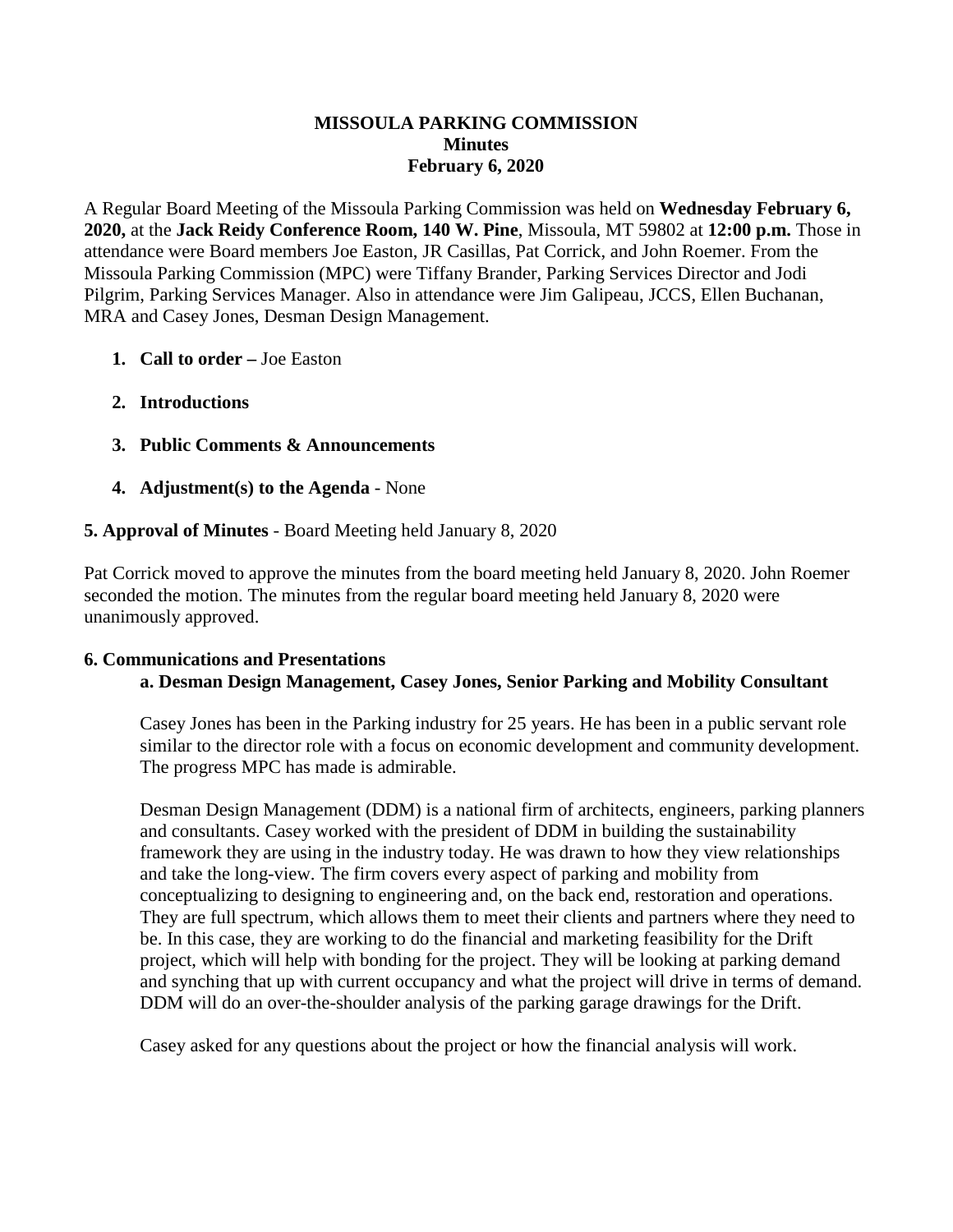#### **MISSOULA PARKING COMMISSION Minutes February 6, 2020**

A Regular Board Meeting of the Missoula Parking Commission was held on **Wednesday February 6, 2020,** at the **Jack Reidy Conference Room, 140 W. Pine**, Missoula, MT 59802 at **12:00 p.m.** Those in attendance were Board members Joe Easton, JR Casillas, Pat Corrick, and John Roemer. From the Missoula Parking Commission (MPC) were Tiffany Brander, Parking Services Director and Jodi Pilgrim, Parking Services Manager. Also in attendance were Jim Galipeau, JCCS, Ellen Buchanan, MRA and Casey Jones, Desman Design Management.

- **1. Call to order –** Joe Easton
- **2. Introductions**
- **3. Public Comments & Announcements**
- **4. Adjustment(s) to the Agenda** None

# **5. Approval of Minutes** - Board Meeting held January 8, 2020

Pat Corrick moved to approve the minutes from the board meeting held January 8, 2020. John Roemer seconded the motion. The minutes from the regular board meeting held January 8, 2020 were unanimously approved.

#### **6. Communications and Presentations a. Desman Design Management, Casey Jones, Senior Parking and Mobility Consultant**

Casey Jones has been in the Parking industry for 25 years. He has been in a public servant role similar to the director role with a focus on economic development and community development. The progress MPC has made is admirable.

Desman Design Management (DDM) is a national firm of architects, engineers, parking planners and consultants. Casey worked with the president of DDM in building the sustainability framework they are using in the industry today. He was drawn to how they view relationships and take the long-view. The firm covers every aspect of parking and mobility from conceptualizing to designing to engineering and, on the back end, restoration and operations. They are full spectrum, which allows them to meet their clients and partners where they need to be. In this case, they are working to do the financial and marketing feasibility for the Drift project, which will help with bonding for the project. They will be looking at parking demand and synching that up with current occupancy and what the project will drive in terms of demand. DDM will do an over-the-shoulder analysis of the parking garage drawings for the Drift.

Casey asked for any questions about the project or how the financial analysis will work.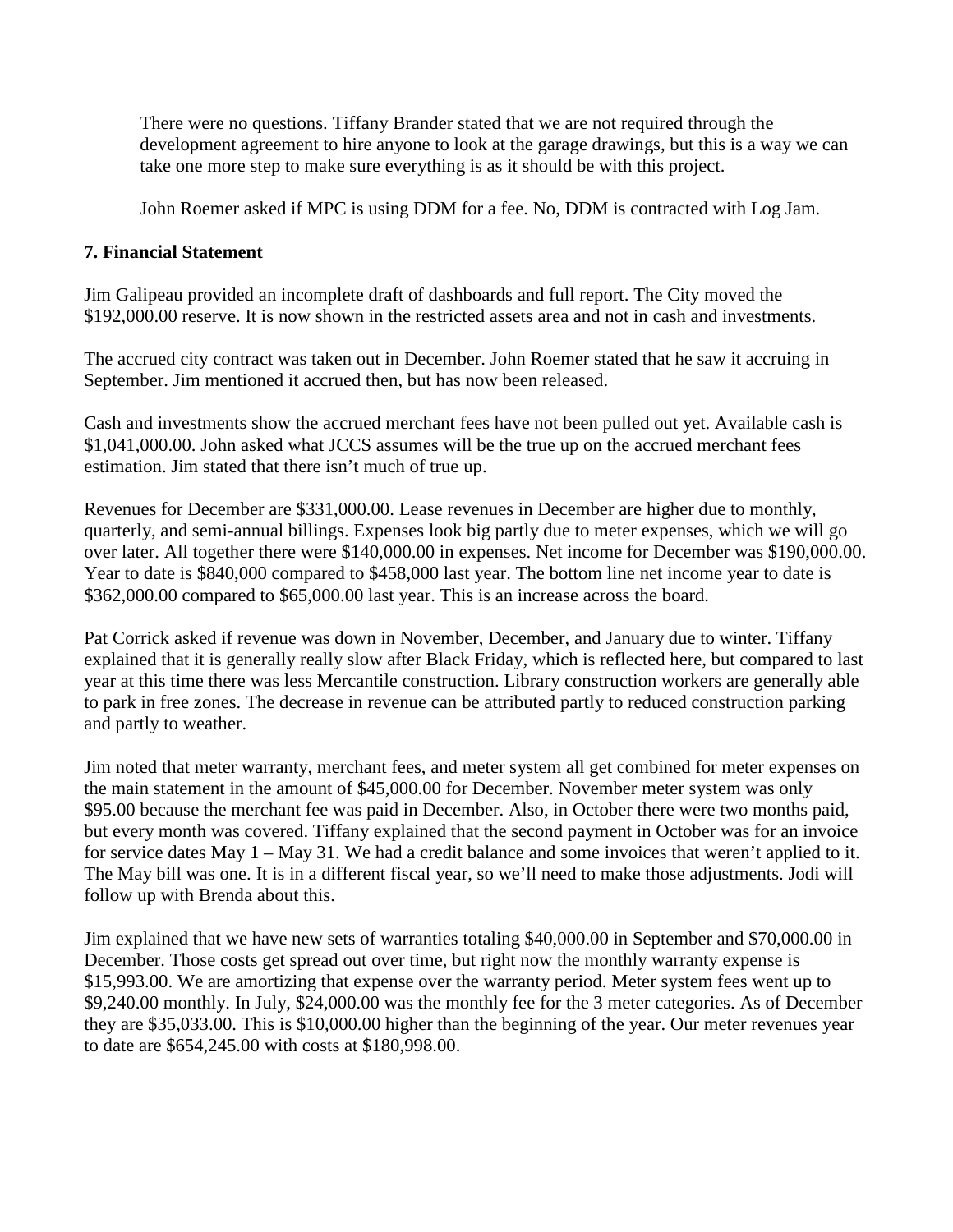There were no questions. Tiffany Brander stated that we are not required through the development agreement to hire anyone to look at the garage drawings, but this is a way we can take one more step to make sure everything is as it should be with this project.

John Roemer asked if MPC is using DDM for a fee. No, DDM is contracted with Log Jam.

#### **7. Financial Statement**

Jim Galipeau provided an incomplete draft of dashboards and full report. The City moved the \$192,000.00 reserve. It is now shown in the restricted assets area and not in cash and investments.

The accrued city contract was taken out in December. John Roemer stated that he saw it accruing in September. Jim mentioned it accrued then, but has now been released.

Cash and investments show the accrued merchant fees have not been pulled out yet. Available cash is \$1,041,000.00. John asked what JCCS assumes will be the true up on the accrued merchant fees estimation. Jim stated that there isn't much of true up.

Revenues for December are \$331,000.00. Lease revenues in December are higher due to monthly, quarterly, and semi-annual billings. Expenses look big partly due to meter expenses, which we will go over later. All together there were \$140,000.00 in expenses. Net income for December was \$190,000.00. Year to date is \$840,000 compared to \$458,000 last year. The bottom line net income year to date is \$362,000.00 compared to \$65,000.00 last year. This is an increase across the board.

Pat Corrick asked if revenue was down in November, December, and January due to winter. Tiffany explained that it is generally really slow after Black Friday, which is reflected here, but compared to last year at this time there was less Mercantile construction. Library construction workers are generally able to park in free zones. The decrease in revenue can be attributed partly to reduced construction parking and partly to weather.

Jim noted that meter warranty, merchant fees, and meter system all get combined for meter expenses on the main statement in the amount of \$45,000.00 for December. November meter system was only \$95.00 because the merchant fee was paid in December. Also, in October there were two months paid, but every month was covered. Tiffany explained that the second payment in October was for an invoice for service dates May 1 – May 31. We had a credit balance and some invoices that weren't applied to it. The May bill was one. It is in a different fiscal year, so we'll need to make those adjustments. Jodi will follow up with Brenda about this.

Jim explained that we have new sets of warranties totaling \$40,000.00 in September and \$70,000.00 in December. Those costs get spread out over time, but right now the monthly warranty expense is \$15,993.00. We are amortizing that expense over the warranty period. Meter system fees went up to \$9,240.00 monthly. In July, \$24,000.00 was the monthly fee for the 3 meter categories. As of December they are \$35,033.00. This is \$10,000.00 higher than the beginning of the year. Our meter revenues year to date are \$654,245.00 with costs at \$180,998.00.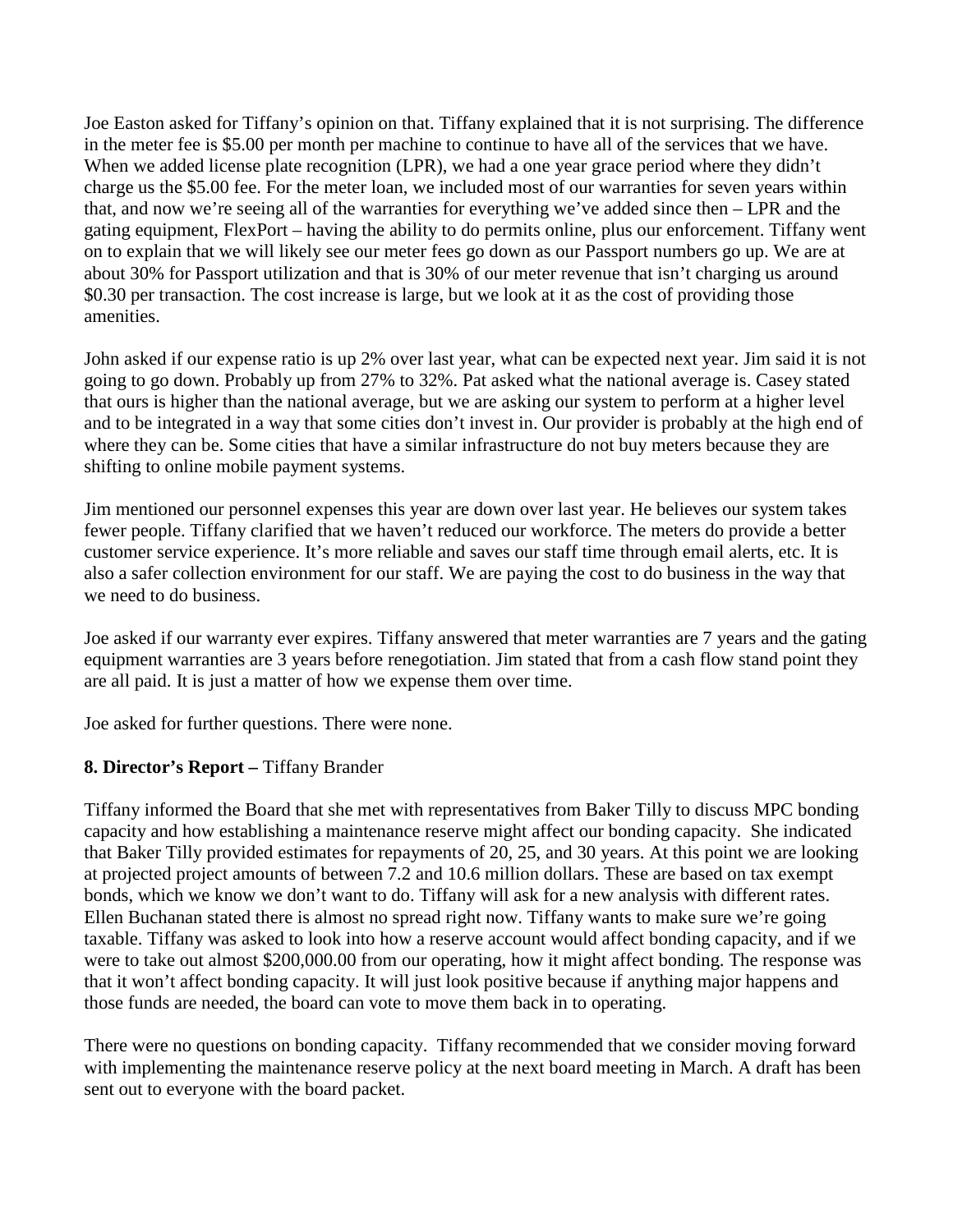Joe Easton asked for Tiffany's opinion on that. Tiffany explained that it is not surprising. The difference in the meter fee is \$5.00 per month per machine to continue to have all of the services that we have. When we added license plate recognition (LPR), we had a one year grace period where they didn't charge us the \$5.00 fee. For the meter loan, we included most of our warranties for seven years within that, and now we're seeing all of the warranties for everything we've added since then – LPR and the gating equipment, FlexPort – having the ability to do permits online, plus our enforcement. Tiffany went on to explain that we will likely see our meter fees go down as our Passport numbers go up. We are at about 30% for Passport utilization and that is 30% of our meter revenue that isn't charging us around \$0.30 per transaction. The cost increase is large, but we look at it as the cost of providing those amenities.

John asked if our expense ratio is up 2% over last year, what can be expected next year. Jim said it is not going to go down. Probably up from 27% to 32%. Pat asked what the national average is. Casey stated that ours is higher than the national average, but we are asking our system to perform at a higher level and to be integrated in a way that some cities don't invest in. Our provider is probably at the high end of where they can be. Some cities that have a similar infrastructure do not buy meters because they are shifting to online mobile payment systems.

Jim mentioned our personnel expenses this year are down over last year. He believes our system takes fewer people. Tiffany clarified that we haven't reduced our workforce. The meters do provide a better customer service experience. It's more reliable and saves our staff time through email alerts, etc. It is also a safer collection environment for our staff. We are paying the cost to do business in the way that we need to do business.

Joe asked if our warranty ever expires. Tiffany answered that meter warranties are 7 years and the gating equipment warranties are 3 years before renegotiation. Jim stated that from a cash flow stand point they are all paid. It is just a matter of how we expense them over time.

Joe asked for further questions. There were none.

# **8. Director's Report –** Tiffany Brander

Tiffany informed the Board that she met with representatives from Baker Tilly to discuss MPC bonding capacity and how establishing a maintenance reserve might affect our bonding capacity. She indicated that Baker Tilly provided estimates for repayments of 20, 25, and 30 years. At this point we are looking at projected project amounts of between 7.2 and 10.6 million dollars. These are based on tax exempt bonds, which we know we don't want to do. Tiffany will ask for a new analysis with different rates. Ellen Buchanan stated there is almost no spread right now. Tiffany wants to make sure we're going taxable. Tiffany was asked to look into how a reserve account would affect bonding capacity, and if we were to take out almost \$200,000.00 from our operating, how it might affect bonding. The response was that it won't affect bonding capacity. It will just look positive because if anything major happens and those funds are needed, the board can vote to move them back in to operating.

There were no questions on bonding capacity. Tiffany recommended that we consider moving forward with implementing the maintenance reserve policy at the next board meeting in March. A draft has been sent out to everyone with the board packet.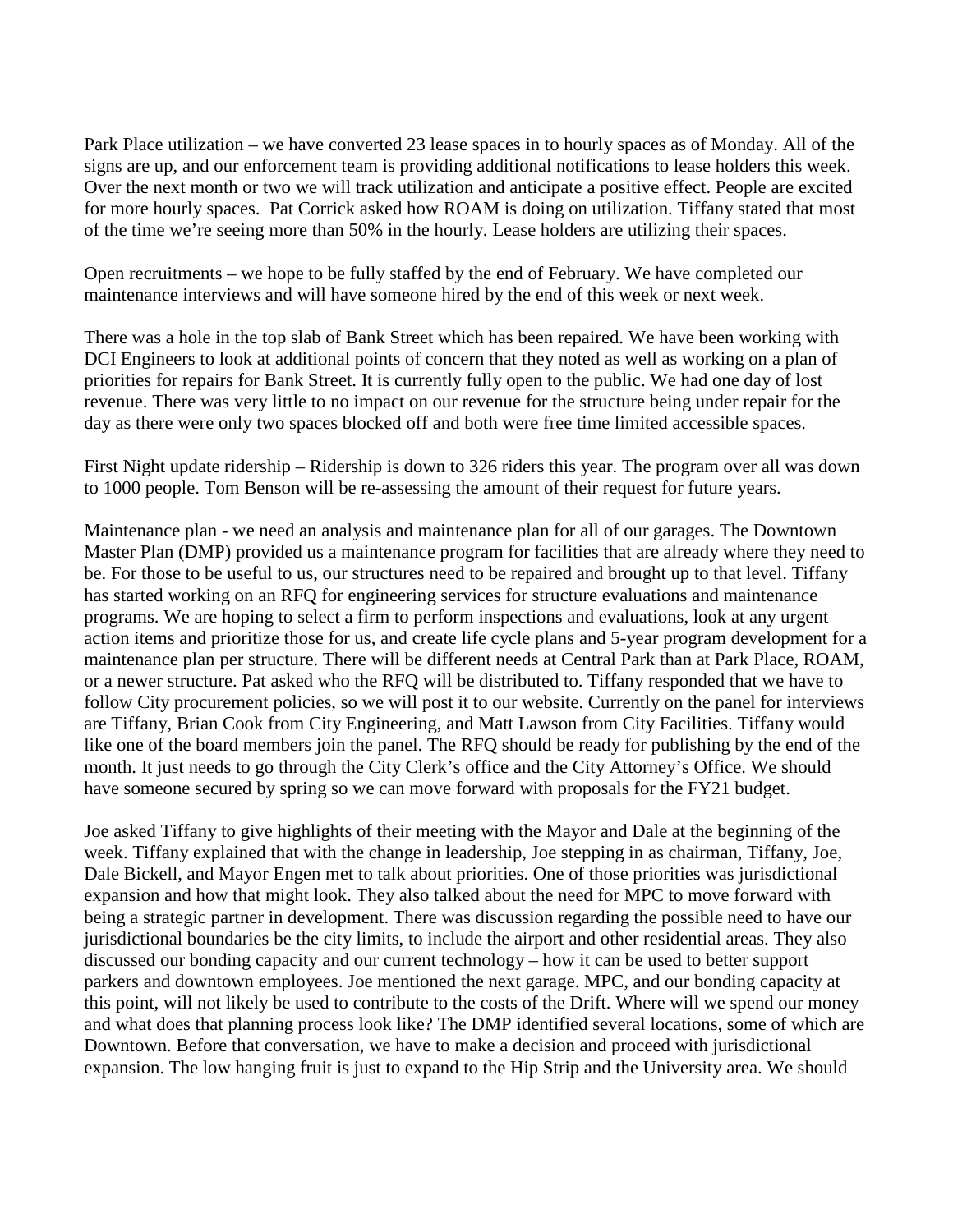Park Place utilization – we have converted 23 lease spaces in to hourly spaces as of Monday. All of the signs are up, and our enforcement team is providing additional notifications to lease holders this week. Over the next month or two we will track utilization and anticipate a positive effect. People are excited for more hourly spaces. Pat Corrick asked how ROAM is doing on utilization. Tiffany stated that most of the time we're seeing more than 50% in the hourly. Lease holders are utilizing their spaces.

Open recruitments – we hope to be fully staffed by the end of February. We have completed our maintenance interviews and will have someone hired by the end of this week or next week.

There was a hole in the top slab of Bank Street which has been repaired. We have been working with DCI Engineers to look at additional points of concern that they noted as well as working on a plan of priorities for repairs for Bank Street. It is currently fully open to the public. We had one day of lost revenue. There was very little to no impact on our revenue for the structure being under repair for the day as there were only two spaces blocked off and both were free time limited accessible spaces.

First Night update ridership – Ridership is down to 326 riders this year. The program over all was down to 1000 people. Tom Benson will be re-assessing the amount of their request for future years.

Maintenance plan - we need an analysis and maintenance plan for all of our garages. The Downtown Master Plan (DMP) provided us a maintenance program for facilities that are already where they need to be. For those to be useful to us, our structures need to be repaired and brought up to that level. Tiffany has started working on an RFQ for engineering services for structure evaluations and maintenance programs. We are hoping to select a firm to perform inspections and evaluations, look at any urgent action items and prioritize those for us, and create life cycle plans and 5-year program development for a maintenance plan per structure. There will be different needs at Central Park than at Park Place, ROAM, or a newer structure. Pat asked who the RFQ will be distributed to. Tiffany responded that we have to follow City procurement policies, so we will post it to our website. Currently on the panel for interviews are Tiffany, Brian Cook from City Engineering, and Matt Lawson from City Facilities. Tiffany would like one of the board members join the panel. The RFQ should be ready for publishing by the end of the month. It just needs to go through the City Clerk's office and the City Attorney's Office. We should have someone secured by spring so we can move forward with proposals for the FY21 budget.

Joe asked Tiffany to give highlights of their meeting with the Mayor and Dale at the beginning of the week. Tiffany explained that with the change in leadership, Joe stepping in as chairman, Tiffany, Joe, Dale Bickell, and Mayor Engen met to talk about priorities. One of those priorities was jurisdictional expansion and how that might look. They also talked about the need for MPC to move forward with being a strategic partner in development. There was discussion regarding the possible need to have our jurisdictional boundaries be the city limits, to include the airport and other residential areas. They also discussed our bonding capacity and our current technology – how it can be used to better support parkers and downtown employees. Joe mentioned the next garage. MPC, and our bonding capacity at this point, will not likely be used to contribute to the costs of the Drift. Where will we spend our money and what does that planning process look like? The DMP identified several locations, some of which are Downtown. Before that conversation, we have to make a decision and proceed with jurisdictional expansion. The low hanging fruit is just to expand to the Hip Strip and the University area. We should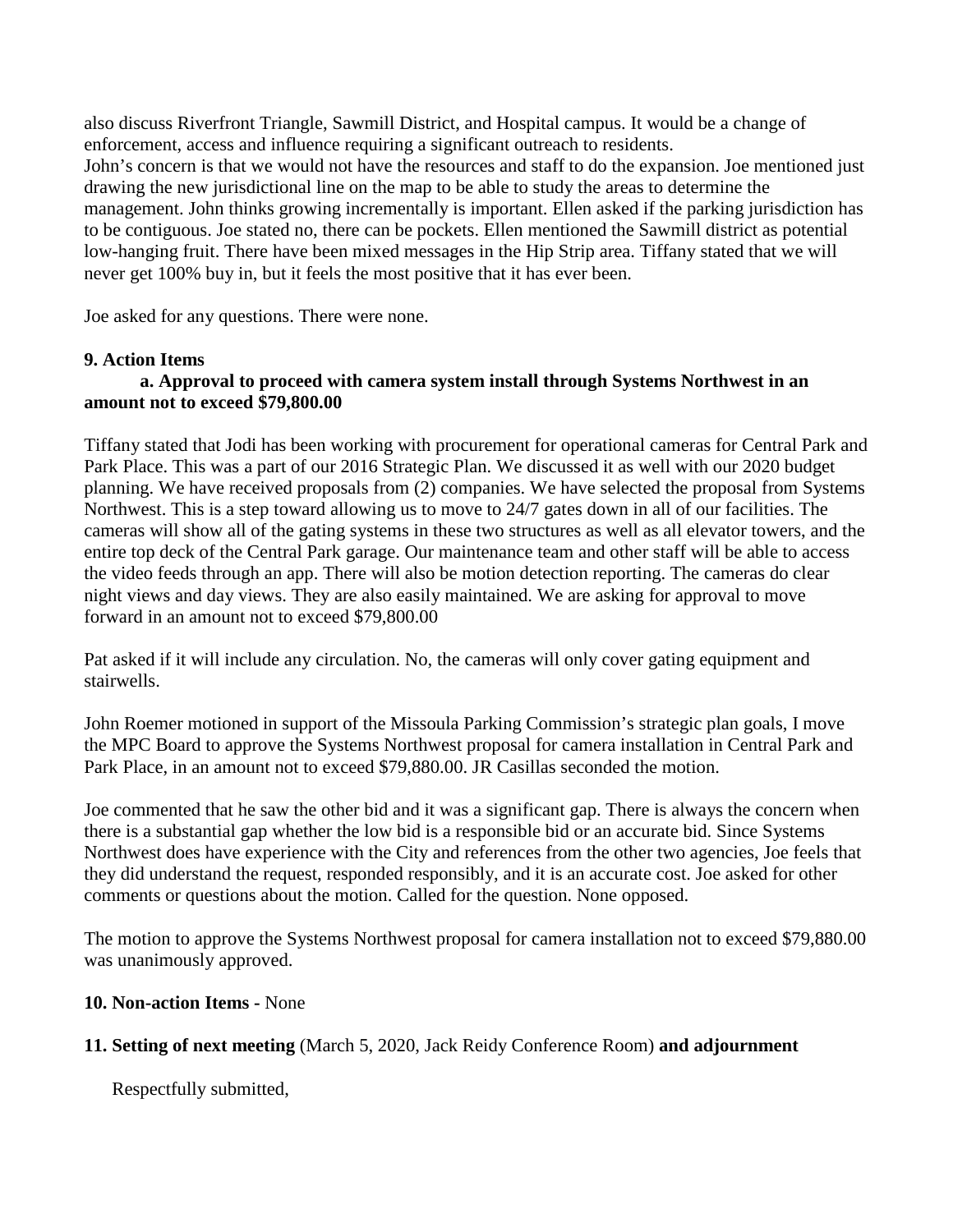also discuss Riverfront Triangle, Sawmill District, and Hospital campus. It would be a change of enforcement, access and influence requiring a significant outreach to residents. John's concern is that we would not have the resources and staff to do the expansion. Joe mentioned just drawing the new jurisdictional line on the map to be able to study the areas to determine the management. John thinks growing incrementally is important. Ellen asked if the parking jurisdiction has to be contiguous. Joe stated no, there can be pockets. Ellen mentioned the Sawmill district as potential low-hanging fruit. There have been mixed messages in the Hip Strip area. Tiffany stated that we will never get 100% buy in, but it feels the most positive that it has ever been.

Joe asked for any questions. There were none.

# **9. Action Items**

#### **a. Approval to proceed with camera system install through Systems Northwest in an amount not to exceed \$79,800.00**

Tiffany stated that Jodi has been working with procurement for operational cameras for Central Park and Park Place. This was a part of our 2016 Strategic Plan. We discussed it as well with our 2020 budget planning. We have received proposals from (2) companies. We have selected the proposal from Systems Northwest. This is a step toward allowing us to move to 24/7 gates down in all of our facilities. The cameras will show all of the gating systems in these two structures as well as all elevator towers, and the entire top deck of the Central Park garage. Our maintenance team and other staff will be able to access the video feeds through an app. There will also be motion detection reporting. The cameras do clear night views and day views. They are also easily maintained. We are asking for approval to move forward in an amount not to exceed \$79,800.00

Pat asked if it will include any circulation. No, the cameras will only cover gating equipment and stairwells.

John Roemer motioned in support of the Missoula Parking Commission's strategic plan goals, I move the MPC Board to approve the Systems Northwest proposal for camera installation in Central Park and Park Place, in an amount not to exceed \$79,880.00. JR Casillas seconded the motion.

Joe commented that he saw the other bid and it was a significant gap. There is always the concern when there is a substantial gap whether the low bid is a responsible bid or an accurate bid. Since Systems Northwest does have experience with the City and references from the other two agencies, Joe feels that they did understand the request, responded responsibly, and it is an accurate cost. Joe asked for other comments or questions about the motion. Called for the question. None opposed.

The motion to approve the Systems Northwest proposal for camera installation not to exceed \$79,880.00 was unanimously approved.

# **10. Non-action Items -** None

# **11. Setting of next meeting** (March 5, 2020, Jack Reidy Conference Room) **and adjournment**

Respectfully submitted,